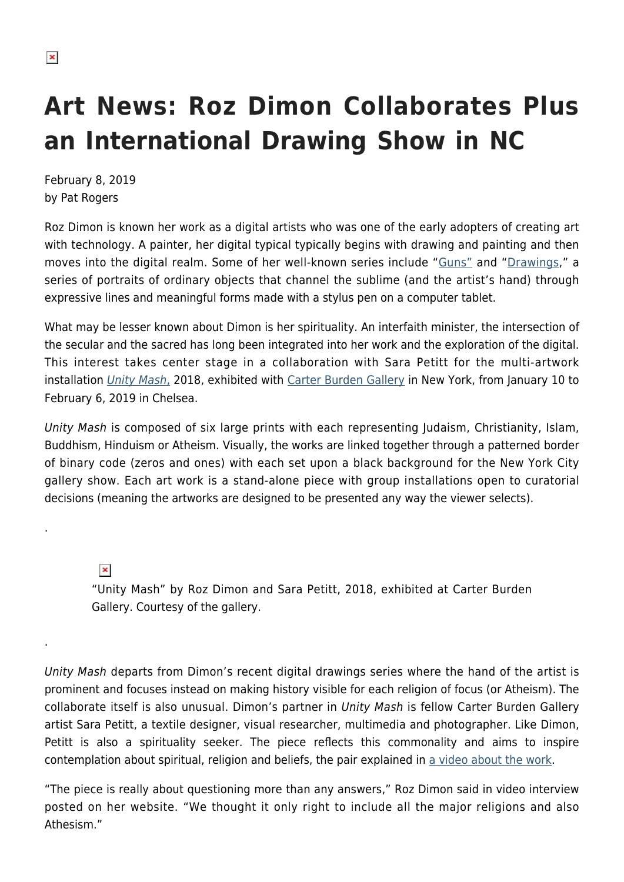## **Art News: Roz Dimon Collaborates Plus an International Drawing Show in NC**

February 8, 2019 by Pat Rogers

Roz Dimon is known her work as a digital artists who was one of the early adopters of creating art with technology. A painter, her digital typical typically begins with drawing and painting and then moves into the digital realm. Some of her well-known series include "[Guns"](https://www.rozdimon.com/guns) and ["Drawings,](https://www.rozdimon.com/artifacts-ii)" a series of portraits of ordinary objects that channel the sublime (and the artist's hand) through expressive lines and meaningful forms made with a stylus pen on a computer tablet.

What may be lesser known about Dimon is her spirituality. An interfaith minister, the intersection of the secular and the sacred has long been integrated into her work and the exploration of the digital. This interest takes center stage in a collaboration with Sara Petitt for the multi-artwork installation *[Unity Mash](https://www.artsy.net/show/carter-burden-gallery-on-the-wall-unity-mash)*[,](https://www.artsy.net/show/carter-burden-gallery-on-the-wall-unity-mash) 2018, exhibited with *Carter Burden Gallery* in New York, from January 10 to February 6, 2019 in Chelsea.

Unity Mash is composed of six large prints with each representing Judaism, Christianity, Islam, Buddhism, Hinduism or Atheism. Visually, the works are linked together through a patterned border of binary code (zeros and ones) with each set upon a black background for the New York City gallery show. Each art work is a stand-alone piece with group installations open to curatorial decisions (meaning the artworks are designed to be presented any way the viewer selects).

 $\pmb{\times}$ 

.

.

"Unity Mash" by Roz Dimon and Sara Petitt, 2018, exhibited at Carter Burden Gallery. Courtesy of the gallery.

Unity Mash departs from Dimon's recent digital drawings series where the hand of the artist is prominent and focuses instead on making history visible for each religion of focus (or Atheism). The collaborate itself is also unusual. Dimon's partner in Unity Mash is fellow Carter Burden Gallery artist Sara Petitt, a textile designer, visual researcher, multimedia and photographer. Like Dimon, Petitt is also a spirituality seeker. The piece reflects this commonality and aims to inspire contemplation about spiritual, religion and beliefs, the pair explained in [a video about the work](https://www.rozdimon.com/).

"The piece is really about questioning more than any answers," Roz Dimon said in video interview posted on her website. "We thought it only right to include all the major religions and also Athesism."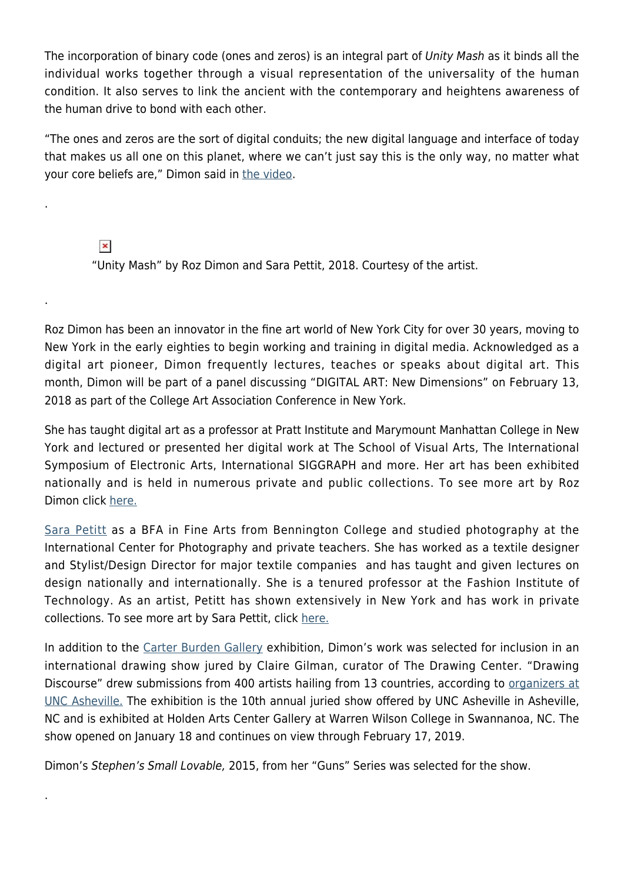The incorporation of binary code (ones and zeros) is an integral part of Unity Mash as it binds all the individual works together through a visual representation of the universality of the human condition. It also serves to link the ancient with the contemporary and heightens awareness of the human drive to bond with each other.

"The ones and zeros are the sort of digital conduits; the new digital language and interface of today that makes us all one on this planet, where we can't just say this is the only way, no matter what your core beliefs are," Dimon said in [the video.](https://www.rozdimon.com/)

 $\pmb{\times}$ 

.

.

.

"Unity Mash" by Roz Dimon and Sara Pettit, 2018. Courtesy of the artist.

Roz Dimon has been an innovator in the fine art world of New York City for over 30 years, moving to New York in the early eighties to begin working and training in digital media. Acknowledged as a digital art pioneer, Dimon frequently lectures, teaches or speaks about digital art. This month, Dimon will be part of a panel discussing "DIGITAL ART: New Dimensions" on February 13, 2018 as part of the College Art Association Conference in New York.

She has taught digital art as a professor at Pratt Institute and Marymount Manhattan College in New York and lectured or presented her digital work at The School of Visual Arts, The International Symposium of Electronic Arts, International SIGGRAPH and more. Her art has been exhibited nationally and is held in numerous private and public collections. To see more art by Roz Dimon click [here.](https://www.artsy.net/artist/roz-dimon)

[Sara Petitt](http://www.fitnyc.edu/fabric-styling/sara-petitt.php) as a BFA in Fine Arts from Bennington College and studied photography at the International Center for Photography and private teachers. She has worked as a textile designer and Stylist/Design Director for major textile companies and has taught and given lectures on design nationally and internationally. She is a tenured professor at the Fashion Institute of Technology. As an artist, Petitt has shown extensively in New York and has work in private collections. To see more art by Sara Pettit, click [here.](https://www.artsy.net/artist/sara-petitt)

In addition to the [Carter Burden Gallery](http://www.carterburdengallery.org/) exhibition, Dimon's work was selected for inclusion in an international drawing show jured by Claire Gilman, curator of The Drawing Center. "Drawing Discourse" drew submissions from 400 artists hailing from 13 countries, according to [organizers at](https://www.unca.edu/events-and-news/event/drawing-discourse-2019/) [UNC Asheville.](https://www.unca.edu/events-and-news/event/drawing-discourse-2019/) The exhibition is the 10th annual juried show offered by UNC Asheville in Asheville, NC and is exhibited at Holden Arts Center Gallery at Warren Wilson College in Swannanoa, NC. The show opened on January 18 and continues on view through February 17, 2019.

Dimon's Stephen's Small Lovable, 2015, from her "Guns" Series was selected for the show.